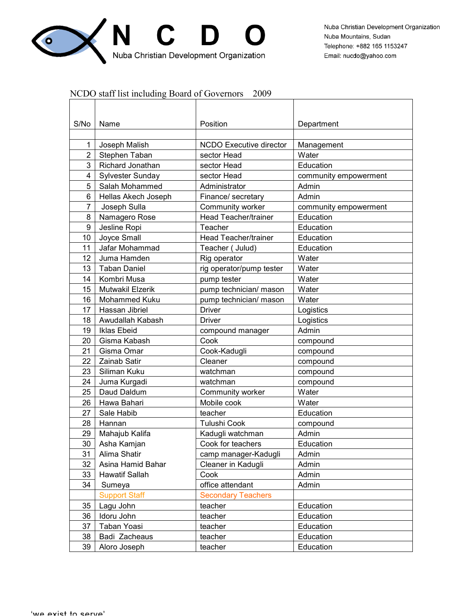

## NCDO staff list including Board of Governors 2009

| S/No           | Name                                   | Position                                 | Department            |
|----------------|----------------------------------------|------------------------------------------|-----------------------|
| 1              | Joseph Malish                          | <b>NCDO Executive director</b>           | Management            |
| $\overline{2}$ | Stephen Taban                          | sector Head                              | Water                 |
| 3              | Richard Jonathan                       | sector Head                              | Education             |
| 4              | Sylvester Sunday                       | sector Head                              | community empowerment |
| 5              | Salah Mohammed                         | Administrator                            | Admin                 |
| 6              | Hellas Akech Joseph                    | Finance/ secretary                       | Admin                 |
| $\overline{7}$ | Joseph Sulla                           | Community worker                         | community empowerment |
| 8              | Namagero Rose                          | Head Teacher/trainer                     | Education             |
| 9              | Jesline Ropi                           | Teacher                                  | Education             |
| 10             | Joyce Small                            | Head Teacher/trainer                     | Education             |
| 11             | Jafar Mohammad                         | Teacher ( Julud)                         | Education             |
| 12             | Juma Hamden                            |                                          | Water                 |
| 13             | <b>Taban Daniel</b>                    | Rig operator<br>rig operator/pump tester | Water                 |
| 14             |                                        |                                          |                       |
| 15             | Kombri Musa<br><b>Mutwakil Elzerik</b> | pump tester<br>pump technician/ mason    | Water<br>Water        |
| 16             | Mohammed Kuku                          | pump technician/ mason                   | Water                 |
| 17             | Hassan Jibriel                         | <b>Driver</b>                            |                       |
| 18             | Awudallah Kabash                       | Driver                                   | Logistics             |
| 19             |                                        |                                          | Logistics<br>Admin    |
|                | Iklas Ebeid                            | compound manager                         |                       |
| 20<br>21       | Gisma Kabash                           | Cook                                     | compound              |
|                | Gisma Omar                             | Cook-Kadugli                             | compound              |
| 22             | Zainab Satir                           | Cleaner                                  | compound              |
| 23<br>24       | Siliman Kuku                           | watchman<br>watchman                     | compound              |
| 25             | Juma Kurgadi                           |                                          | compound              |
|                | Daud Daldum                            | Community worker                         | Water                 |
| 26<br>27       | Hawa Bahari<br>Sale Habib              | Mobile cook<br>teacher                   | Water<br>Education    |
| 28             | Hannan                                 | Tulushi Cook                             |                       |
| 29             |                                        |                                          | compound              |
| 30             | Mahajub Kalifa<br>Asha Kamjan          | Kadugli watchman<br>Cook for teachers    | Admin<br>Education    |
|                | Alima Shatir                           |                                          |                       |
| 31<br>32       | Asina Hamid Bahar                      | camp manager-Kadugli                     | Admin                 |
| 33             | <b>Hawatif Sallah</b>                  | Cleaner in Kadugli<br>Cook               | Admin<br>Admin        |
| 34             | Sumeya                                 | office attendant                         |                       |
|                | <b>Support Staff</b>                   | <b>Secondary Teachers</b>                | Admin                 |
| 35             | Lagu John                              | teacher                                  | Education             |
| 36             | Idoru John                             | teacher                                  | Education             |
| 37             | Taban Yoasi                            | teacher                                  | Education             |
| 38             | Badi Zacheaus                          | teacher                                  | Education             |
| 39             | Aloro Joseph                           | teacher                                  | Education             |
|                |                                        |                                          |                       |